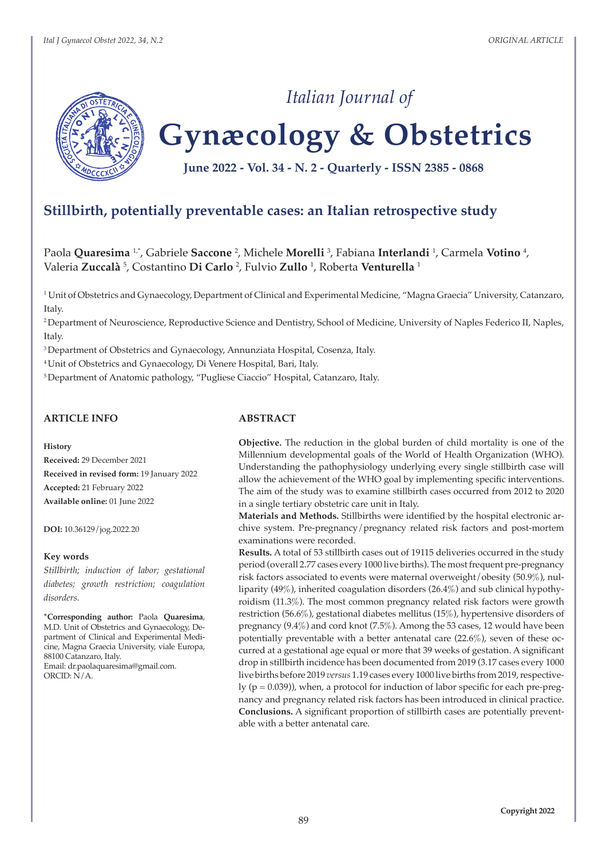

# **Gynæcology & Obstetrics**

*Italian Journal of*

**June 2022 - Vol. 34 - N. 2 - Quarterly - ISSN 2385 - 0868**

## **Stillbirth, potentially preventable cases: an Italian retrospective study**

Paola **Quaresima** 1,\*, Gabriele **Saccone** <sup>2</sup> , Michele **Morelli** <sup>3</sup> , Fabiana **Interlandi** <sup>1</sup> , Carmela **Votino** <sup>4</sup> , Valeria **Zuccalà** <sup>5</sup> , Costantino **Di Carlo** <sup>2</sup> , Fulvio **Zullo** <sup>1</sup> , Roberta **Venturella** <sup>1</sup>

1 Unit of Obstetrics and Gynaecology, Department of Clinical and Experimental Medicine, "Magna Graecia" University, Catanzaro, Italy.

<sup>2</sup>Department of Neuroscience, Reproductive Science and Dentistry, School of Medicine, University of Naples Federico II, Naples, Italy.

<sup>3</sup> Department of Obstetrics and Gynaecology, Annunziata Hospital, Cosenza, Italy.

4 Unit of Obstetrics and Gynaecology, Di Venere Hospital, Bari, Italy.

<sup>5</sup>Department of Anatomic pathology, "Pugliese Ciaccio" Hospital, Catanzaro, Italy.

## **ARTICLE INFO**

#### **History**

**Received:** 29 December 2021 **Received in revised form:** 19 January 2022 **Accepted:** 21 February 2022 **Available online:** 01 June 2022

**DOI:** 10.36129/jog.2022.20

#### **Key words**

*Stillbirth; induction of labor; gestational diabetes; growth restriction; coagulation disorders.*

**\*Corresponding author:** Paola **Quaresima**, M.D. Unit of Obstetrics and Gynaecology, Department of Clinical and Experimental Medicine, Magna Graecia University, viale Europa, 88100 Catanzaro, Italy. Email: dr.paolaquaresima@gmail.com.  $ORCID: N/A$ .

#### **ABSTRACT**

**Objective.** The reduction in the global burden of child mortality is one of the Millennium developmental goals of the World of Health Organization (WHO). Understanding the pathophysiology underlying every single stillbirth case will allow the achievement of the WHO goal by implementing specific interventions. The aim of the study was to examine stillbirth cases occurred from 2012 to 2020 in a single tertiary obstetric care unit in Italy.

**Materials and Methods.** Stillbirths were identified by the hospital electronic archive system. Pre-pregnancy/pregnancy related risk factors and post-mortem examinations were recorded.

**Results.** A total of 53 stillbirth cases out of 19115 deliveries occurred in the study period (overall 2.77 cases every 1000 live births). The most frequent pre-pregnancy risk factors associated to events were maternal overweight/obesity (50.9%), nulliparity (49%), inherited coagulation disorders (26.4%) and sub clinical hypothyroidism (11.3%). The most common pregnancy related risk factors were growth restriction (56.6%), gestational diabetes mellitus (15%), hypertensive disorders of pregnancy (9.4%) and cord knot (7.5%). Among the 53 cases, 12 would have been potentially preventable with a better antenatal care (22.6%), seven of these occurred at a gestational age equal or more that 39 weeks of gestation. A significant drop in stillbirth incidence has been documented from 2019 (3.17 cases every 1000 live births before 2019 *versus* 1.19 cases every 1000 live births from 2019, respectively  $(p = 0.039)$ ), when, a protocol for induction of labor specific for each pre-pregnancy and pregnancy related risk factors has been introduced in clinical practice. **Conclusions.** A significant proportion of stillbirth cases are potentially preventable with a better antenatal care.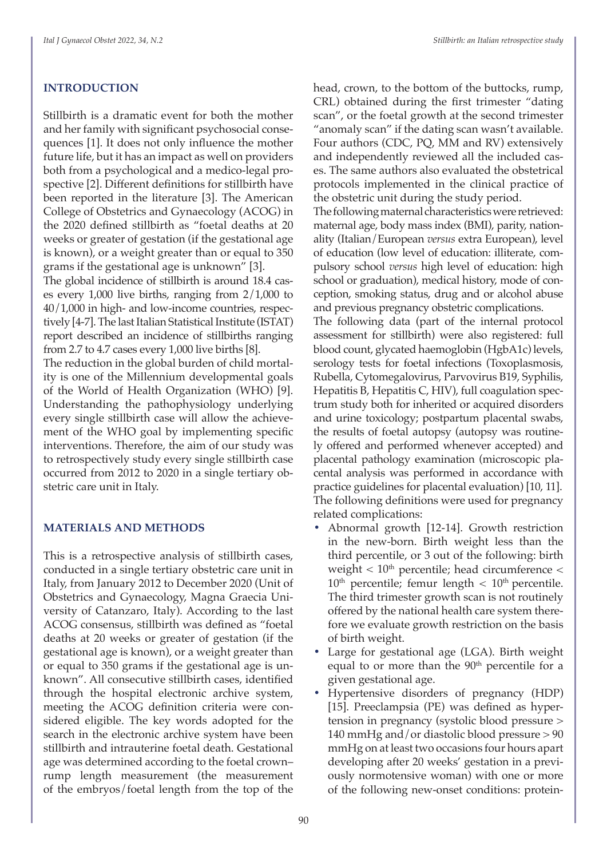## **INTRODUCTION**

Stillbirth is a dramatic event for both the mother and her family with significant psychosocial consequences [1]. It does not only influence the mother future life, but it has an impact as well on providers both from a psychological and a medico-legal prospective [2]. Different definitions for stillbirth have been reported in the literature [3]. The American College of Obstetrics and Gynaecology (ACOG) in the 2020 defined stillbirth as "foetal deaths at 20 weeks or greater of gestation (if the gestational age is known), or a weight greater than or equal to 350 grams if the gestational age is unknown" [3].

The global incidence of stillbirth is around 18.4 cases every 1,000 live births, ranging from 2/1,000 to 40/1,000 in high- and low-income countries, respectively [4-7]. The last Italian Statistical Institute (ISTAT) report described an incidence of stillbirths ranging from 2.7 to 4.7 cases every 1,000 live births [8].

The reduction in the global burden of child mortality is one of the Millennium developmental goals of the World of Health Organization (WHO) [9]. Understanding the pathophysiology underlying every single stillbirth case will allow the achievement of the WHO goal by implementing specific interventions. Therefore, the aim of our study was to retrospectively study every single stillbirth case occurred from 2012 to 2020 in a single tertiary obstetric care unit in Italy.

#### **MATERIALS AND METHODS**

This is a retrospective analysis of stillbirth cases, conducted in a single tertiary obstetric care unit in Italy, from January 2012 to December 2020 (Unit of Obstetrics and Gynaecology, Magna Graecia University of Catanzaro, Italy). According to the last ACOG consensus, stillbirth was defined as "foetal deaths at 20 weeks or greater of gestation (if the gestational age is known), or a weight greater than or equal to 350 grams if the gestational age is unknown". All consecutive stillbirth cases, identified through the hospital electronic archive system, meeting the ACOG definition criteria were considered eligible. The key words adopted for the search in the electronic archive system have been stillbirth and intrauterine foetal death. Gestational age was determined according to the foetal crown– rump length measurement (the measurement of the embryos/foetal length from the top of the

head, crown, to the bottom of the buttocks, rump, CRL) obtained during the first trimester "dating scan", or the foetal growth at the second trimester "anomaly scan" if the dating scan wasn't available. Four authors (CDC, PQ, MM and RV) extensively and independently reviewed all the included cases. The same authors also evaluated the obstetrical protocols implemented in the clinical practice of the obstetric unit during the study period.

The following maternal characteristics were retrieved: maternal age, body mass index (BMI), parity, nationality (Italian/European *versus* extra European), level of education (low level of education: illiterate, compulsory school *versus* high level of education: high school or graduation), medical history, mode of conception, smoking status, drug and or alcohol abuse and previous pregnancy obstetric complications.

The following data (part of the internal protocol assessment for stillbirth) were also registered: full blood count, glycated haemoglobin (HgbA1c) levels, serology tests for foetal infections (Toxoplasmosis, Rubella, Cytomegalovirus, Parvovirus B19, Syphilis, Hepatitis B, Hepatitis C, HIV), full coagulation spectrum study both for inherited or acquired disorders and urine toxicology; postpartum placental swabs, the results of foetal autopsy (autopsy was routinely offered and performed whenever accepted) and placental pathology examination (microscopic placental analysis was performed in accordance with practice guidelines for placental evaluation) [10, 11]. The following definitions were used for pregnancy related complications:

- **•** Abnormal growth [12-14]. Growth restriction in the new-born. Birth weight less than the third percentile, or 3 out of the following: birth weight  $< 10<sup>th</sup>$  percentile; head circumference  $<$  $10<sup>th</sup>$  percentile; femur length  $< 10<sup>th</sup>$  percentile. The third trimester growth scan is not routinely offered by the national health care system therefore we evaluate growth restriction on the basis of birth weight.
- **•** Large for gestational age (LGA). Birth weight equal to or more than the  $90<sup>th</sup>$  percentile for a given gestational age.
- **•** Hypertensive disorders of pregnancy (HDP) [15]. Preeclampsia (PE) was defined as hypertension in pregnancy (systolic blood pressure > 140 mmHg and/or diastolic blood pressure > 90 mmHg on at least two occasions four hours apart developing after 20 weeks' gestation in a previously normotensive woman) with one or more of the following new-onset conditions: protein-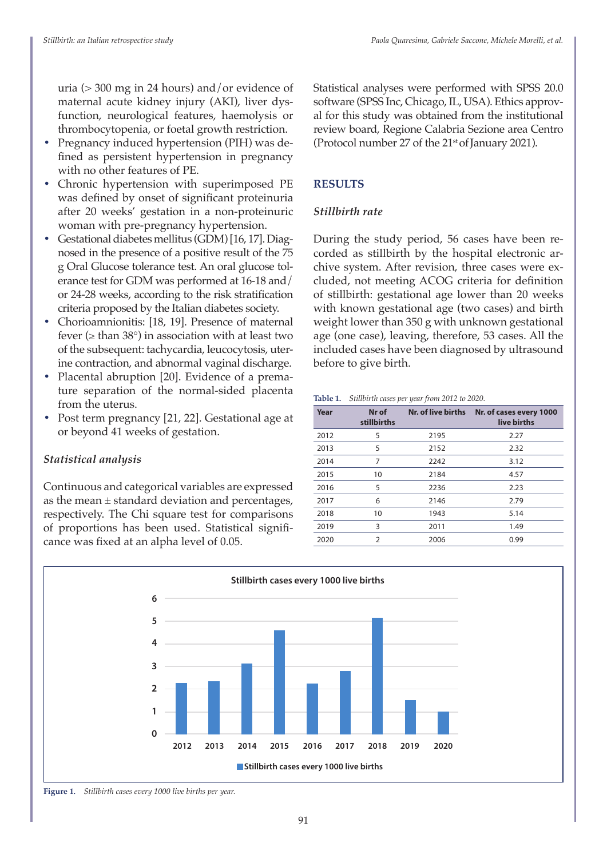uria (> 300 mg in 24 hours) and/or evidence of maternal acute kidney injury (AKI), liver dysfunction, neurological features, haemolysis or thrombocytopenia, or foetal growth restriction.

- **•** Pregnancy induced hypertension (PIH) was defined as persistent hypertension in pregnancy with no other features of PE.
- **•** Chronic hypertension with superimposed PE was defined by onset of significant proteinuria after 20 weeks' gestation in a non-proteinuric woman with pre-pregnancy hypertension.
- **•** Gestational diabetes mellitus (GDM) [16, 17]. Diagnosed in the presence of a positive result of the 75 g Oral Glucose tolerance test. An oral glucose tolerance test for GDM was performed at 16-18 and/ or 24-28 weeks, according to the risk stratification criteria proposed by the Italian diabetes society.
- **•** Chorioamnionitis: [18, 19]. Presence of maternal fever ( $\ge$  than 38 $\degree$ ) in association with at least two of the subsequent: tachycardia, leucocytosis, uterine contraction, and abnormal vaginal discharge.
- **•** Placental abruption [20]. Evidence of a premature separation of the normal-sided placenta from the uterus.
- **•** Post term pregnancy [21, 22]. Gestational age at or beyond 41 weeks of gestation.

## *Statistical analysis*

Continuous and categorical variables are expressed as the mean  $\pm$  standard deviation and percentages, respectively. The Chi square test for comparisons of proportions has been used. Statistical significance was fixed at an alpha level of 0.05.

Statistical analyses were performed with SPSS 20.0 software (SPSS Inc, Chicago, IL, USA). Ethics approval for this study was obtained from the institutional review board, Regione Calabria Sezione area Centro (Protocol number 27 of the 21<sup>st</sup> of January 2021).

## **RESULTS**

## *Stillbirth rate*

During the study period, 56 cases have been recorded as stillbirth by the hospital electronic archive system. After revision, three cases were excluded, not meeting ACOG criteria for definition of stillbirth: gestational age lower than 20 weeks with known gestational age (two cases) and birth weight lower than 350 g with unknown gestational age (one case), leaving, therefore, 53 cases. All the included cases have been diagnosed by ultrasound before to give birth.

#### **Table 1.** *Stillbirth cases per year from 2012 to 2020.*

| Year | Nr of<br>stillbirths | Nr. of live births | Nr. of cases every 1000<br>live births |
|------|----------------------|--------------------|----------------------------------------|
| 2012 | 5                    | 2195               | 2.27                                   |
| 2013 | 5                    | 2152               | 2.32                                   |
| 2014 | 7                    | 2242               | 3.12                                   |
| 2015 | 10                   | 2184               | 4.57                                   |
| 2016 | 5                    | 2236               | 2.23                                   |
| 2017 | 6                    | 2146               | 2.79                                   |
| 2018 | 10                   | 1943               | 5.14                                   |
| 2019 | 3                    | 2011               | 1.49                                   |
| 2020 | 2                    | 2006               | 0.99                                   |



**Figure 1.** *Stillbirth cases every 1000 live births per year.*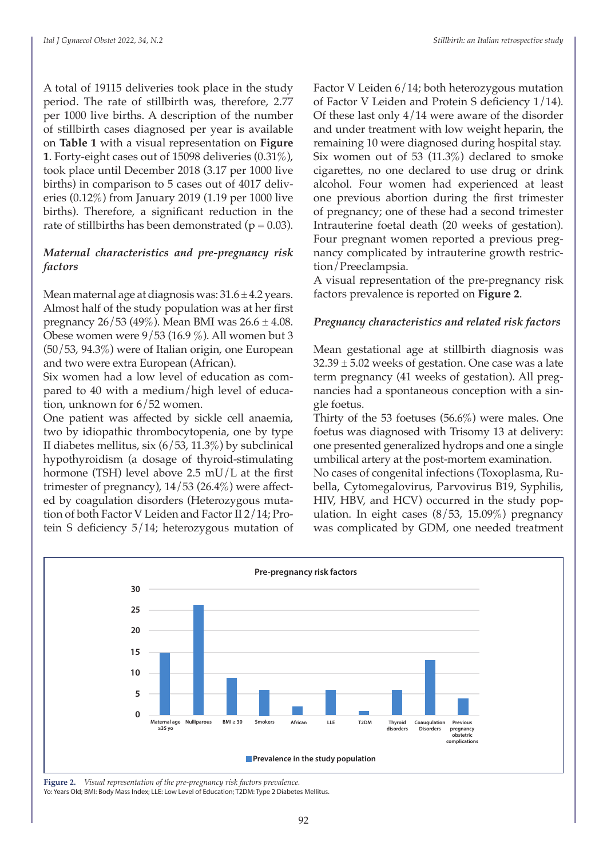A total of 19115 deliveries took place in the study period. The rate of stillbirth was, therefore, 2.77 per 1000 live births. A description of the number of stillbirth cases diagnosed per year is available on **Table 1** with a visual representation on **Figure 1**. Forty-eight cases out of 15098 deliveries (0.31%), took place until December 2018 (3.17 per 1000 live births) in comparison to 5 cases out of 4017 deliveries (0.12%) from January 2019 (1.19 per 1000 live births). Therefore, a significant reduction in the rate of stillbirths has been demonstrated ( $p = 0.03$ ).

## *Maternal characteristics and pre-pregnancy risk factors*

Mean maternal age at diagnosis was:  $31.6 \pm 4.2$  years. Almost half of the study population was at her first pregnancy  $26/53$  (49%). Mean BMI was  $26.6 \pm 4.08$ . Obese women were 9/53 (16.9 %). All women but 3 (50/53, 94.3%) were of Italian origin, one European and two were extra European (African).

Six women had a low level of education as compared to 40 with a medium/high level of education, unknown for 6/52 women.

One patient was affected by sickle cell anaemia, two by idiopathic thrombocytopenia, one by type II diabetes mellitus, six (6/53, 11.3%) by subclinical hypothyroidism (a dosage of thyroid-stimulating hormone (TSH) level above 2.5 mU/L at the first trimester of pregnancy), 14/53 (26.4%) were affected by coagulation disorders (Heterozygous mutation of both Factor V Leiden and Factor II 2/14; Protein S deficiency 5/14; heterozygous mutation of Factor V Leiden 6/14; both heterozygous mutation of Factor V Leiden and Protein S deficiency 1/14). Of these last only  $4/14$  were aware of the disorder and under treatment with low weight heparin, the remaining 10 were diagnosed during hospital stay. Six women out of 53  $(11.3\%)$  declared to smoke cigarettes, no one declared to use drug or drink alcohol. Four women had experienced at least one previous abortion during the first trimester of pregnancy; one of these had a second trimester Intrauterine foetal death (20 weeks of gestation). Four pregnant women reported a previous pregnancy complicated by intrauterine growth restriction/Preeclampsia.

A visual representation of the pre-pregnancy risk factors prevalence is reported on **Figure 2**.

## *Pregnancy characteristics and related risk factors*

Mean gestational age at stillbirth diagnosis was  $32.39 \pm 5.02$  weeks of gestation. One case was a late term pregnancy (41 weeks of gestation). All pregnancies had a spontaneous conception with a single foetus.

Thirty of the 53 foetuses (56.6%) were males. One foetus was diagnosed with Trisomy 13 at delivery: one presented generalized hydrops and one a single umbilical artery at the post-mortem examination.

No cases of congenital infections (Toxoplasma, Rubella, Cytomegalovirus, Parvovirus B19, Syphilis, HIV, HBV, and HCV) occurred in the study population. In eight cases  $(8/53, 15.09\%)$  pregnancy was complicated by GDM, one needed treatment



**Figure 2.** *Visual representation of the pre-pregnancy risk factors prevalence.*  Yo: Years Old; BMI: Body Mass Index; LLE: Low Level of Education; T2DM: Type 2 Diabetes Mellitus.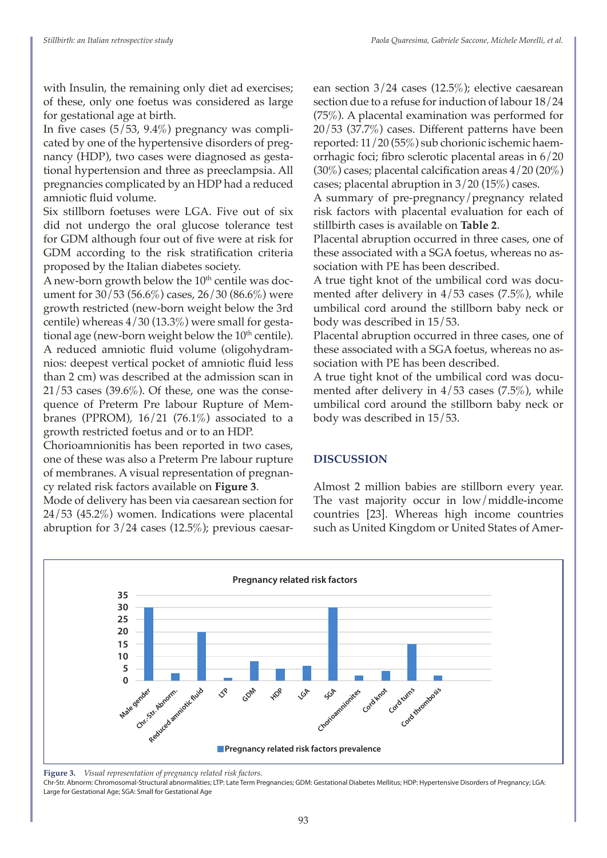with Insulin, the remaining only diet ad exercises; of these, only one foetus was considered as large for gestational age at birth.

In five cases  $(5/53, 9.4\%)$  pregnancy was complicated by one of the hypertensive disorders of pregnancy (HDP), two cases were diagnosed as gestational hypertension and three as preeclampsia. All pregnancies complicated by an HDP had a reduced amniotic fluid volume.

Six stillborn foetuses were LGA. Five out of six did not undergo the oral glucose tolerance test for GDM although four out of five were at risk for GDM according to the risk stratification criteria proposed by the Italian diabetes society.

A new-born growth below the  $10<sup>th</sup>$  centile was document for 30/53 (56.6%) cases, 26/30 (86.6%) were growth restricted (new-born weight below the 3rd centile) whereas 4/30 (13.3%) were small for gestational age (new-born weight below the  $10<sup>th</sup>$  centile). A reduced amniotic fluid volume (oligohydramnios: deepest vertical pocket of amniotic fluid less than 2 cm) was described at the admission scan in  $21/53$  cases (39.6%). Of these, one was the consequence of Preterm Pre labour Rupture of Membranes (PPROM),  $16/21$  (76.1%) associated to a growth restricted foetus and or to an HDP.

Chorioamnionitis has been reported in two cases, one of these was also a Preterm Pre labour rupture of membranes. A visual representation of pregnancy related risk factors available on **Figure 3**.

Mode of delivery has been via caesarean section for 24/53 (45.2%) women. Indications were placental abruption for  $3/24$  cases (12.5%); previous caesar-

ean section 3/24 cases (12.5%); elective caesarean section due to a refuse for induction of labour 18/24 (75%). A placental examination was performed for 20/53 (37.7%) cases. Different patterns have been reported: 11/20 (55%) sub chorionic ischemic haemorrhagic foci; fibro sclerotic placental areas in 6/20  $(30\%)$  cases; placental calcification areas  $4/20(20\%)$ cases; placental abruption in 3/20 (15%) cases.

A summary of pre-pregnancy/pregnancy related risk factors with placental evaluation for each of stillbirth cases is available on **Table 2**.

Placental abruption occurred in three cases, one of these associated with a SGA foetus, whereas no association with PE has been described.

A true tight knot of the umbilical cord was documented after delivery in  $4/53$  cases (7.5%), while umbilical cord around the stillborn baby neck or body was described in 15/53.

Placental abruption occurred in three cases, one of these associated with a SGA foetus, whereas no association with PE has been described.

A true tight knot of the umbilical cord was documented after delivery in 4/53 cases (7.5%), while umbilical cord around the stillborn baby neck or body was described in 15/53.

## **DISCUSSION**

Almost 2 million babies are stillborn every year. The vast majority occur in low/middle-income countries [23]. Whereas high income countries such as United Kingdom or United States of Amer-



**Figure 3.** *Visual representation of pregnancy related risk factors.* 

Chr-Str. Abnorm: Chromosomal-Structural abnormalities; LTP: Late Term Pregnancies; GDM: Gestational Diabetes Mellitus; HDP: Hypertensive Disorders of Pregnancy; LGA: Large for Gestational Age; SGA: Small for Gestational Age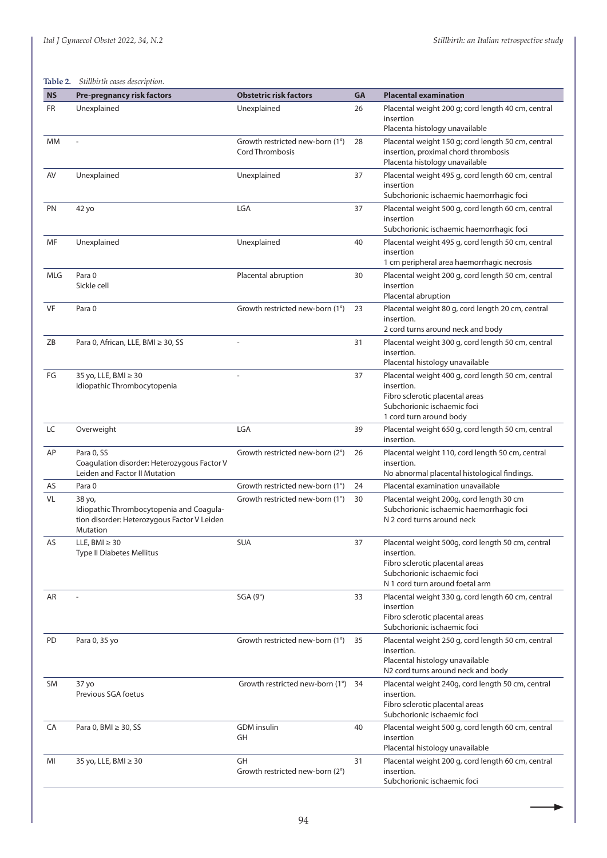٠

#### **Table 2.** *Stillbirth cases description.*

| <b>NS</b>  | <b>Pre-pregnancy risk factors</b>                                                                                    | <b>Obstetric risk factors</b>                             | <b>GA</b> | <b>Placental examination</b>                                                                                                                                         |
|------------|----------------------------------------------------------------------------------------------------------------------|-----------------------------------------------------------|-----------|----------------------------------------------------------------------------------------------------------------------------------------------------------------------|
| FR         | Unexplained                                                                                                          | Unexplained                                               | 26        | Placental weight 200 g; cord length 40 cm, central<br>insertion<br>Placenta histology unavailable                                                                    |
| MM         |                                                                                                                      | Growth restricted new-born (1°)<br><b>Cord Thrombosis</b> | 28        | Placental weight 150 g; cord length 50 cm, central<br>insertion, proximal chord thrombosis<br>Placenta histology unavailable                                         |
| AV         | Unexplained                                                                                                          | Unexplained                                               | 37        | Placental weight 495 g, cord length 60 cm, central<br>insertion<br>Subchorionic ischaemic haemorrhagic foci                                                          |
| PN         | 42 yo                                                                                                                | LGA                                                       | 37        | Placental weight 500 g, cord length 60 cm, central<br>insertion<br>Subchorionic ischaemic haemorrhagic foci                                                          |
| MF         | Unexplained                                                                                                          | Unexplained                                               | 40        | Placental weight 495 g, cord length 50 cm, central<br>insertion<br>1 cm peripheral area haemorrhagic necrosis                                                        |
| <b>MLG</b> | Para 0<br>Sickle cell                                                                                                | Placental abruption                                       | 30        | Placental weight 200 g, cord length 50 cm, central<br>insertion<br>Placental abruption                                                                               |
| VF         | Para 0                                                                                                               | Growth restricted new-born (1°)                           | 23        | Placental weight 80 g, cord length 20 cm, central<br>insertion.<br>2 cord turns around neck and body                                                                 |
| ZΒ         | Para 0, African, LLE, BMI ≥ 30, SS                                                                                   |                                                           | 31        | Placental weight 300 g, cord length 50 cm, central<br>insertion.<br>Placental histology unavailable                                                                  |
| FG         | 35 yo, LLE, BMI ≥ 30<br>Idiopathic Thrombocytopenia                                                                  |                                                           | 37        | Placental weight 400 g, cord length 50 cm, central<br>insertion.<br>Fibro sclerotic placental areas<br>Subchorionic ischaemic foci<br>1 cord turn around body        |
| LC         | Overweight                                                                                                           | LGA                                                       | 39        | Placental weight 650 g, cord length 50 cm, central<br>insertion.                                                                                                     |
| AP         | Para 0, SS<br>Coagulation disorder: Heterozygous Factor V<br>Leiden and Factor II Mutation                           | Growth restricted new-born (2°)                           | 26        | Placental weight 110, cord length 50 cm, central<br>insertion.<br>No abnormal placental histological findings.                                                       |
| AS         | Para 0                                                                                                               | Growth restricted new-born (1°)                           | 24        | Placental examination unavailable                                                                                                                                    |
| VL         | 38 yo,<br>Idiopathic Thrombocytopenia and Coagula-<br>tion disorder: Heterozygous Factor V Leiden<br><b>Mutation</b> | Growth restricted new-born (1°)                           | 30        | Placental weight 200g, cord length 30 cm<br>Subchorionic ischaemic haemorrhagic foci<br>N 2 cord turns around neck                                                   |
| AS         | LLE, BMI $\geq 30$<br><b>Type II Diabetes Mellitus</b>                                                               | <b>SUA</b>                                                | 37        | Placental weight 500g, cord length 50 cm, central<br>insertion.<br>Fibro sclerotic placental areas<br>Subchorionic ischaemic foci<br>N 1 cord turn around foetal arm |
| AR         |                                                                                                                      | SGA(9°)                                                   | 33        | Placental weight 330 g, cord length 60 cm, central<br>insertion<br>Fibro sclerotic placental areas<br>Subchorionic ischaemic foci                                    |
| PD         | Para 0, 35 yo                                                                                                        | Growth restricted new-born (1°)                           | 35        | Placental weight 250 g, cord length 50 cm, central<br>insertion.<br>Placental histology unavailable<br>N2 cord turns around neck and body                            |
| <b>SM</b>  | 37 yo<br>Previous SGA foetus                                                                                         | Growth restricted new-born (1°)                           | 34        | Placental weight 240g, cord length 50 cm, central<br>insertion.<br>Fibro sclerotic placental areas<br>Subchorionic ischaemic foci                                    |
| CA         | Para 0, BMI ≥ 30, SS                                                                                                 | <b>GDM</b> insulin<br>GH                                  | 40        | Placental weight 500 g, cord length 60 cm, central<br>insertion<br>Placental histology unavailable                                                                   |
| MI         | 35 yo, LLE, BMI ≥ 30                                                                                                 | GH<br>Growth restricted new-born (2°)                     | 31        | Placental weight 200 g, cord length 60 cm, central<br>insertion.<br>Subchorionic ischaemic foci                                                                      |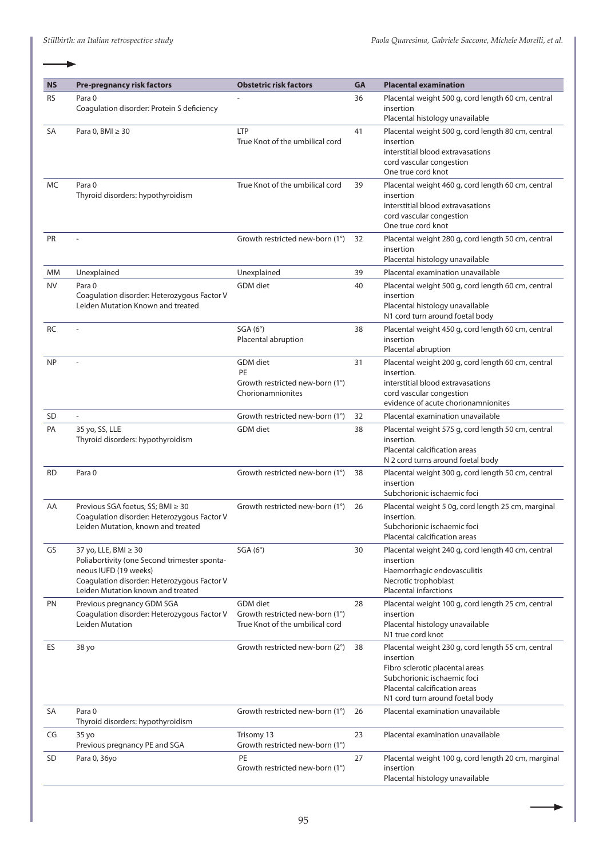| <b>NS</b> | <b>Pre-pregnancy risk factors</b>                                                                                                                                                 | <b>Obstetric risk factors</b>                                                         | <b>GA</b> | <b>Placental examination</b>                                                                                                                                                                          |
|-----------|-----------------------------------------------------------------------------------------------------------------------------------------------------------------------------------|---------------------------------------------------------------------------------------|-----------|-------------------------------------------------------------------------------------------------------------------------------------------------------------------------------------------------------|
| <b>RS</b> | Para 0<br>Coagulation disorder: Protein S deficiency                                                                                                                              |                                                                                       | 36        | Placental weight 500 g, cord length 60 cm, central<br>insertion<br>Placental histology unavailable                                                                                                    |
| SA        | Para 0, BMI ≥ 30                                                                                                                                                                  | <b>LTP</b><br>True Knot of the umbilical cord                                         | 41        | Placental weight 500 g, cord length 80 cm, central<br>insertion<br>interstitial blood extravasations<br>cord vascular congestion<br>One true cord knot                                                |
| MC        | Para 0<br>Thyroid disorders: hypothyroidism                                                                                                                                       | True Knot of the umbilical cord                                                       | 39        | Placental weight 460 g, cord length 60 cm, central<br>insertion<br>interstitial blood extravasations<br>cord vascular congestion<br>One true cord knot                                                |
| <b>PR</b> |                                                                                                                                                                                   | Growth restricted new-born (1°)                                                       | 32        | Placental weight 280 g, cord length 50 cm, central<br>insertion<br>Placental histology unavailable                                                                                                    |
| МM        | Unexplained                                                                                                                                                                       | Unexplained                                                                           | 39        | Placental examination unavailable                                                                                                                                                                     |
| NV        | Para 0<br>Coagulation disorder: Heterozygous Factor V<br>Leiden Mutation Known and treated                                                                                        | <b>GDM</b> diet                                                                       | 40        | Placental weight 500 g, cord length 60 cm, central<br>insertion<br>Placental histology unavailable<br>N1 cord turn around foetal body                                                                 |
| RC        |                                                                                                                                                                                   | SGA(6°)<br>Placental abruption                                                        | 38        | Placental weight 450 g, cord length 60 cm, central<br>insertion<br>Placental abruption                                                                                                                |
| <b>NP</b> |                                                                                                                                                                                   | <b>GDM</b> diet<br>PE<br>Growth restricted new-born (1°)<br>Chorionamnionites         | 31        | Placental weight 200 g, cord length 60 cm, central<br>insertion.<br>interstitial blood extravasations<br>cord vascular congestion<br>evidence of acute chorionamnionites                              |
| <b>SD</b> | L.                                                                                                                                                                                | Growth restricted new-born (1°)                                                       | 32        | Placental examination unavailable                                                                                                                                                                     |
| PA        | 35 yo, SS, LLE<br>Thyroid disorders: hypothyroidism                                                                                                                               | GDM diet                                                                              | 38        | Placental weight 575 g, cord length 50 cm, central<br>insertion.<br>Placental calcification areas<br>N 2 cord turns around foetal body                                                                |
| <b>RD</b> | Para 0                                                                                                                                                                            | Growth restricted new-born (1°)                                                       | 38        | Placental weight 300 g, cord length 50 cm, central<br>insertion<br>Subchorionic ischaemic foci                                                                                                        |
| AA        | Previous SGA foetus, SS; BMI ≥ 30<br>Coagulation disorder: Heterozygous Factor V<br>Leiden Mutation, known and treated                                                            | Growth restricted new-born (1°)                                                       | 26        | Placental weight 5 0g, cord length 25 cm, marginal<br>insertion.<br>Subchorionic ischaemic foci<br>Placental calcification areas                                                                      |
| GS        | 37 yo, LLE, BMI ≥ 30<br>Poliabortivity (one Second trimester sponta-<br>neous IUFD (19 weeks)<br>Coagulation disorder: Heterozygous Factor V<br>Leiden Mutation known and treated | SGA(6°)                                                                               | 30        | Placental weight 240 g, cord length 40 cm, central<br>insertion<br>Haemorrhagic endovasculitis<br>Necrotic trophoblast<br><b>Placental infarctions</b>                                                |
| PN        | Previous pregnancy GDM SGA<br>Coagulation disorder: Heterozygous Factor V<br>Leiden Mutation                                                                                      | <b>GDM</b> diet<br>Growth restricted new-born (1°)<br>True Knot of the umbilical cord | 28        | Placental weight 100 g, cord length 25 cm, central<br>insertion<br>Placental histology unavailable<br>N1 true cord knot                                                                               |
| ES        | 38 yo                                                                                                                                                                             | Growth restricted new-born (2°)                                                       | 38        | Placental weight 230 g, cord length 55 cm, central<br>insertion<br>Fibro sclerotic placental areas<br>Subchorionic ischaemic foci<br>Placental calcification areas<br>N1 cord turn around foetal body |
| SA        | Para <sub>0</sub><br>Thyroid disorders: hypothyroidism                                                                                                                            | Growth restricted new-born (1°)                                                       | 26        | Placental examination unavailable                                                                                                                                                                     |
| CG        | 35 yo<br>Previous pregnancy PE and SGA                                                                                                                                            | Trisomy 13<br>Growth restricted new-born (1°)                                         | 23        | Placental examination unavailable                                                                                                                                                                     |
| <b>SD</b> | Para 0, 36yo                                                                                                                                                                      | PE<br>Growth restricted new-born (1°)                                                 | 27        | Placental weight 100 g, cord length 20 cm, marginal<br>insertion<br>Placental histology unavailable                                                                                                   |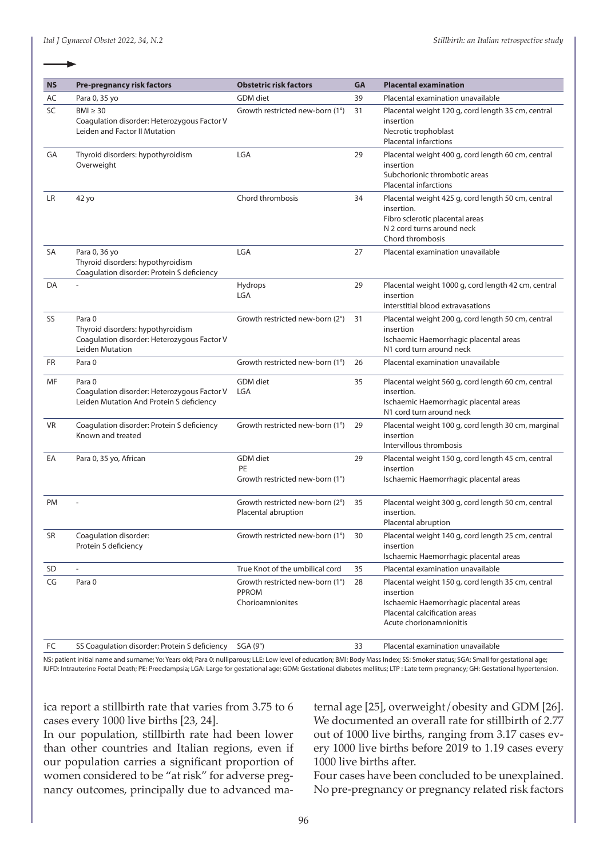| <b>NS</b> | <b>Pre-pregnancy risk factors</b>                                                                             | <b>Obstetric risk factors</b>                                | GA | <b>Placental examination</b>                                                                                                                                          |
|-----------|---------------------------------------------------------------------------------------------------------------|--------------------------------------------------------------|----|-----------------------------------------------------------------------------------------------------------------------------------------------------------------------|
| AC        | Para 0, 35 yo                                                                                                 | GDM diet                                                     | 39 | Placental examination unavailable                                                                                                                                     |
| SC        | $BMI \geq 30$<br>Coagulation disorder: Heterozygous Factor V<br>Leiden and Factor II Mutation                 | Growth restricted new-born (1°)                              | 31 | Placental weight 120 g, cord length 35 cm, central<br>insertion<br>Necrotic trophoblast<br><b>Placental infarctions</b>                                               |
| GA        | Thyroid disorders: hypothyroidism<br>Overweight                                                               | <b>LGA</b>                                                   | 29 | Placental weight 400 g, cord length 60 cm, central<br>insertion<br>Subchorionic thrombotic areas<br><b>Placental infarctions</b>                                      |
| LR        | 42 yo                                                                                                         | Chord thrombosis                                             | 34 | Placental weight 425 g, cord length 50 cm, central<br>insertion.<br>Fibro sclerotic placental areas<br>N 2 cord turns around neck<br>Chord thrombosis                 |
| SA        | Para 0, 36 yo<br>Thyroid disorders: hypothyroidism<br>Coagulation disorder: Protein S deficiency              | <b>LGA</b>                                                   | 27 | Placental examination unavailable                                                                                                                                     |
| DA        |                                                                                                               | Hydrops<br>LGA                                               | 29 | Placental weight 1000 g, cord length 42 cm, central<br>insertion<br>interstitial blood extravasations                                                                 |
| SS        | Para 0<br>Thyroid disorders: hypothyroidism<br>Coagulation disorder: Heterozygous Factor V<br>Leiden Mutation | Growth restricted new-born (2°)                              | 31 | Placental weight 200 g, cord length 50 cm, central<br>insertion<br>Ischaemic Haemorrhagic placental areas<br>N1 cord turn around neck                                 |
| <b>FR</b> | Para 0                                                                                                        | Growth restricted new-born (1°)                              | 26 | Placental examination unavailable                                                                                                                                     |
| MF        | Para 0<br>Coagulation disorder: Heterozygous Factor V<br>Leiden Mutation And Protein S deficiency             | GDM diet<br><b>LGA</b>                                       | 35 | Placental weight 560 g, cord length 60 cm, central<br>insertion.<br>Ischaemic Haemorrhagic placental areas<br>N1 cord turn around neck                                |
| <b>VR</b> | Coagulation disorder: Protein S deficiency<br>Known and treated                                               | Growth restricted new-born (1°)                              | 29 | Placental weight 100 g, cord length 30 cm, marginal<br>insertion<br>Intervillous thrombosis                                                                           |
| EA        | Para 0, 35 yo, African                                                                                        | <b>GDM</b> diet<br>PE<br>Growth restricted new-born (1°)     | 29 | Placental weight 150 g, cord length 45 cm, central<br>insertion<br>Ischaemic Haemorrhagic placental areas                                                             |
| PM        |                                                                                                               | Growth restricted new-born (2°)<br>Placental abruption       | 35 | Placental weight 300 g, cord length 50 cm, central<br>insertion.<br>Placental abruption                                                                               |
| SR        | Coagulation disorder:<br>Protein S deficiency                                                                 | Growth restricted new-born (1°)                              | 30 | Placental weight 140 g, cord length 25 cm, central<br>insertion<br>Ischaemic Haemorrhagic placental areas                                                             |
| SD        |                                                                                                               | True Knot of the umbilical cord                              | 35 | Placental examination unavailable                                                                                                                                     |
| CG        | Para 0                                                                                                        | Growth restricted new-born (1°)<br>PPROM<br>Chorioamnionites | 28 | Placental weight 150 g, cord length 35 cm, central<br>insertion<br>Ischaemic Haemorrhagic placental areas<br>Placental calcification areas<br>Acute chorionamnionitis |
| FC        | SS Coagulation disorder: Protein S deficiency                                                                 | SGA(9°)                                                      | 33 | Placental examination unavailable                                                                                                                                     |

NS: patient initial name and surname; Yo: Years old; Para 0: nulliparous; LLE: Low level of education; BMI: Body Mass Index; SS: Smoker status; SGA: Small for gestational age; IUFD: Intrauterine Foetal Death; PE: Preeclampsia; LGA: Large for gestational age; GDM: Gestational diabetes mellitus; LTP : Late term pregnancy; GH: Gestational hypertension.

ica report a stillbirth rate that varies from 3.75 to 6 cases every 1000 live births [23, 24].

In our population, stillbirth rate had been lower than other countries and Italian regions, even if our population carries a significant proportion of women considered to be "at risk" for adverse pregnancy outcomes, principally due to advanced maternal age [25], overweight/obesity and GDM [26]. We documented an overall rate for stillbirth of 2.77 out of 1000 live births, ranging from 3.17 cases every 1000 live births before 2019 to 1.19 cases every 1000 live births after.

Four cases have been concluded to be unexplained. No pre-pregnancy or pregnancy related risk factors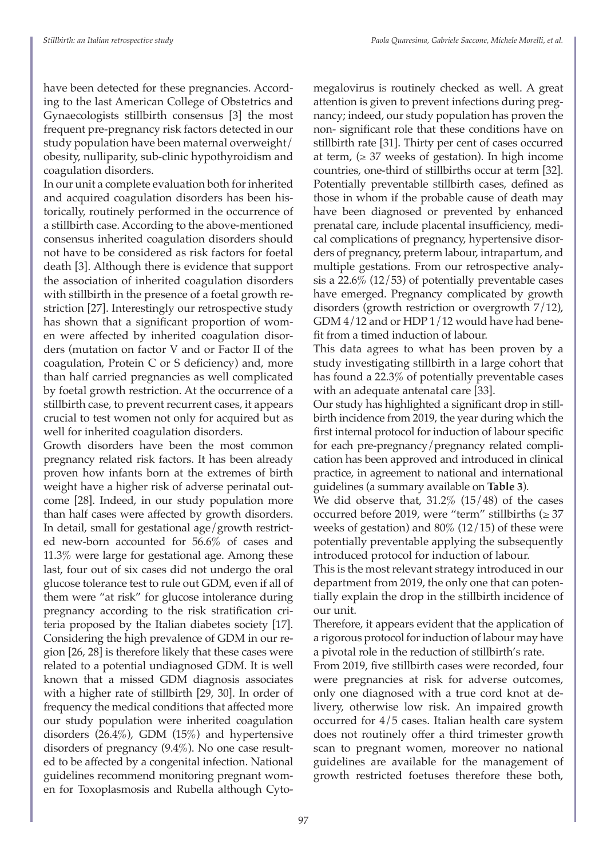have been detected for these pregnancies. According to the last American College of Obstetrics and Gynaecologists stillbirth consensus [3] the most frequent pre-pregnancy risk factors detected in our study population have been maternal overweight/ obesity, nulliparity, sub-clinic hypothyroidism and coagulation disorders.

In our unit a complete evaluation both for inherited and acquired coagulation disorders has been historically, routinely performed in the occurrence of a stillbirth case. According to the above-mentioned consensus inherited coagulation disorders should not have to be considered as risk factors for foetal death [3]. Although there is evidence that support the association of inherited coagulation disorders with stillbirth in the presence of a foetal growth restriction [27]. Interestingly our retrospective study has shown that a significant proportion of women were affected by inherited coagulation disorders (mutation on factor V and or Factor II of the coagulation, Protein C or S deficiency) and, more than half carried pregnancies as well complicated by foetal growth restriction. At the occurrence of a stillbirth case, to prevent recurrent cases, it appears crucial to test women not only for acquired but as well for inherited coagulation disorders.

Growth disorders have been the most common pregnancy related risk factors. It has been already proven how infants born at the extremes of birth weight have a higher risk of adverse perinatal outcome [28]. Indeed, in our study population more than half cases were affected by growth disorders. In detail, small for gestational age/growth restricted new-born accounted for 56.6% of cases and 11.3% were large for gestational age. Among these last, four out of six cases did not undergo the oral glucose tolerance test to rule out GDM, even if all of them were "at risk" for glucose intolerance during pregnancy according to the risk stratification criteria proposed by the Italian diabetes society [17]. Considering the high prevalence of GDM in our region [26, 28] is therefore likely that these cases were related to a potential undiagnosed GDM. It is well known that a missed GDM diagnosis associates with a higher rate of stillbirth [29, 30]. In order of frequency the medical conditions that affected more our study population were inherited coagulation disorders (26.4%), GDM (15%) and hypertensive disorders of pregnancy (9.4%). No one case resulted to be affected by a congenital infection. National guidelines recommend monitoring pregnant women for Toxoplasmosis and Rubella although Cytomegalovirus is routinely checked as well. A great attention is given to prevent infections during pregnancy; indeed, our study population has proven the non- significant role that these conditions have on stillbirth rate [31]. Thirty per cent of cases occurred at term,  $(\geq 37$  weeks of gestation). In high income countries, one-third of stillbirths occur at term [32]. Potentially preventable stillbirth cases, defined as those in whom if the probable cause of death may have been diagnosed or prevented by enhanced prenatal care, include placental insufficiency, medical complications of pregnancy, hypertensive disorders of pregnancy, preterm labour, intrapartum, and multiple gestations. From our retrospective analysis a 22.6% (12/53) of potentially preventable cases have emerged. Pregnancy complicated by growth disorders (growth restriction or overgrowth 7/12), GDM 4/12 and or HDP 1/12 would have had benefit from a timed induction of labour.

This data agrees to what has been proven by a study investigating stillbirth in a large cohort that has found a 22.3% of potentially preventable cases with an adequate antenatal care [33].

Our study has highlighted a significant drop in stillbirth incidence from 2019, the year during which the first internal protocol for induction of labour specific for each pre-pregnancy/pregnancy related complication has been approved and introduced in clinical practice, in agreement to national and international guidelines (a summary available on **Table 3**).

We did observe that,  $31.2\%$  ( $15/48$ ) of the cases occurred before 2019, were "term" stillbirths ( $\geq$  37 weeks of gestation) and 80% (12/15) of these were potentially preventable applying the subsequently introduced protocol for induction of labour.

This is the most relevant strategy introduced in our department from 2019, the only one that can potentially explain the drop in the stillbirth incidence of our unit.

Therefore, it appears evident that the application of a rigorous protocol for induction of labour may have a pivotal role in the reduction of stillbirth's rate.

From 2019, five stillbirth cases were recorded, four were pregnancies at risk for adverse outcomes, only one diagnosed with a true cord knot at delivery, otherwise low risk. An impaired growth occurred for 4/5 cases. Italian health care system does not routinely offer a third trimester growth scan to pregnant women, moreover no national guidelines are available for the management of growth restricted foetuses therefore these both,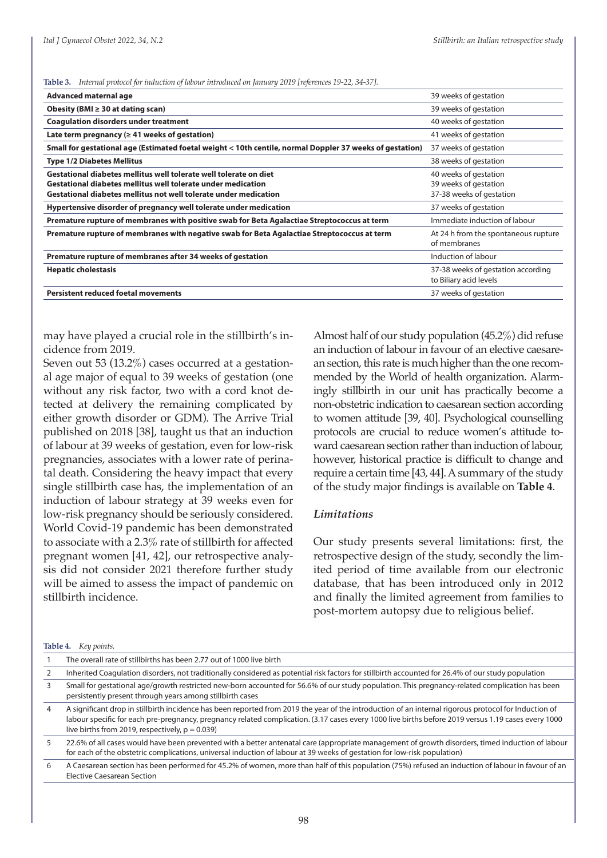**Table 3.** *Internal protocol for induction of labour introduced on January 2019 [references 19-22, 34-37].*

| Advanced maternal age                                                                                                                                                                                 | 39 weeks of gestation                                                      |
|-------------------------------------------------------------------------------------------------------------------------------------------------------------------------------------------------------|----------------------------------------------------------------------------|
| Obesity (BMI $\geq$ 30 at dating scan)                                                                                                                                                                | 39 weeks of gestation                                                      |
| <b>Coaquiation disorders under treatment</b>                                                                                                                                                          | 40 weeks of gestation                                                      |
| Late term pregnancy ( $\geq 41$ weeks of gestation)                                                                                                                                                   | 41 weeks of gestation                                                      |
| Small for gestational age (Estimated foetal weight < 10th centile, normal Doppler 37 weeks of gestation)                                                                                              | 37 weeks of gestation                                                      |
| <b>Type 1/2 Diabetes Mellitus</b>                                                                                                                                                                     | 38 weeks of gestation                                                      |
| Gestational diabetes mellitus well tolerate well tolerate on diet<br>Gestational diabetes mellitus well tolerate under medication<br>Gestational diabetes mellitus not well tolerate under medication | 40 weeks of gestation<br>39 weeks of gestation<br>37-38 weeks of gestation |
| Hypertensive disorder of pregnancy well tolerate under medication                                                                                                                                     | 37 weeks of gestation                                                      |
| Premature rupture of membranes with positive swab for Beta Agalactiae Streptococcus at term                                                                                                           | Immediate induction of labour                                              |
| Premature rupture of membranes with negative swab for Beta Agalactiae Streptococcus at term                                                                                                           | At 24 h from the spontaneous rupture<br>of membranes                       |
| Premature rupture of membranes after 34 weeks of gestation                                                                                                                                            | Induction of labour                                                        |
| <b>Hepatic cholestasis</b>                                                                                                                                                                            | 37-38 weeks of gestation according<br>to Biliary acid levels               |
| <b>Persistent reduced foetal movements</b>                                                                                                                                                            | 37 weeks of gestation                                                      |

may have played a crucial role in the stillbirth's incidence from 2019.

Seven out 53 (13.2%) cases occurred at a gestational age major of equal to 39 weeks of gestation (one without any risk factor, two with a cord knot detected at delivery the remaining complicated by either growth disorder or GDM). The Arrive Trial published on 2018 [38], taught us that an induction of labour at 39 weeks of gestation, even for low-risk pregnancies, associates with a lower rate of perinatal death. Considering the heavy impact that every single stillbirth case has, the implementation of an induction of labour strategy at 39 weeks even for low-risk pregnancy should be seriously considered. World Covid-19 pandemic has been demonstrated to associate with a 2.3% rate of stillbirth for affected pregnant women [41, 42], our retrospective analysis did not consider 2021 therefore further study will be aimed to assess the impact of pandemic on stillbirth incidence.

Almost half of our study population (45.2%) did refuse an induction of labour in favour of an elective caesarean section, this rate is much higher than the one recommended by the World of health organization. Alarmingly stillbirth in our unit has practically become a non-obstetric indication to caesarean section according to women attitude [39, 40]. Psychological counselling protocols are crucial to reduce women's attitude toward caesarean section rather than induction of labour, however, historical practice is difficult to change and require a certain time [43, 44]. A summary of the study of the study major findings is available on **Table 4**.

#### *Limitations*

Our study presents several limitations: first, the retrospective design of the study, secondly the limited period of time available from our electronic database, that has been introduced only in 2012 and finally the limited agreement from families to post-mortem autopsy due to religious belief.

**Table 4.** *Key points.*

|   | The overall rate of stillbirths has been 2.77 out of 1000 live birth                                                                                                                                                                                                                                                                                               |
|---|--------------------------------------------------------------------------------------------------------------------------------------------------------------------------------------------------------------------------------------------------------------------------------------------------------------------------------------------------------------------|
|   | Inherited Coaqulation disorders, not traditionally considered as potential risk factors for stillbirth accounted for 26.4% of our study population                                                                                                                                                                                                                 |
|   | Small for gestational age/growth restricted new-born accounted for 56.6% of our study population. This pregnancy-related complication has been<br>persistently present through years among stillbirth cases                                                                                                                                                        |
|   | A significant drop in stillbirth incidence has been reported from 2019 the year of the introduction of an internal rigorous protocol for Induction of<br>labour specific for each pre-pregnancy, pregnancy related complication. (3.17 cases every 1000 live births before 2019 versus 1.19 cases every 1000<br>live births from 2019, respectively, $p = 0.039$ ) |
|   | 22.6% of all cases would have been prevented with a better antenatal care (appropriate management of growth disorders, timed induction of labour<br>for each of the obstetric complications, universal induction of labour at 39 weeks of gestation for low-risk population)                                                                                       |
| 6 | A Caesarean section has been performed for 45.2% of women, more than half of this population (75%) refused an induction of labour in favour of an                                                                                                                                                                                                                  |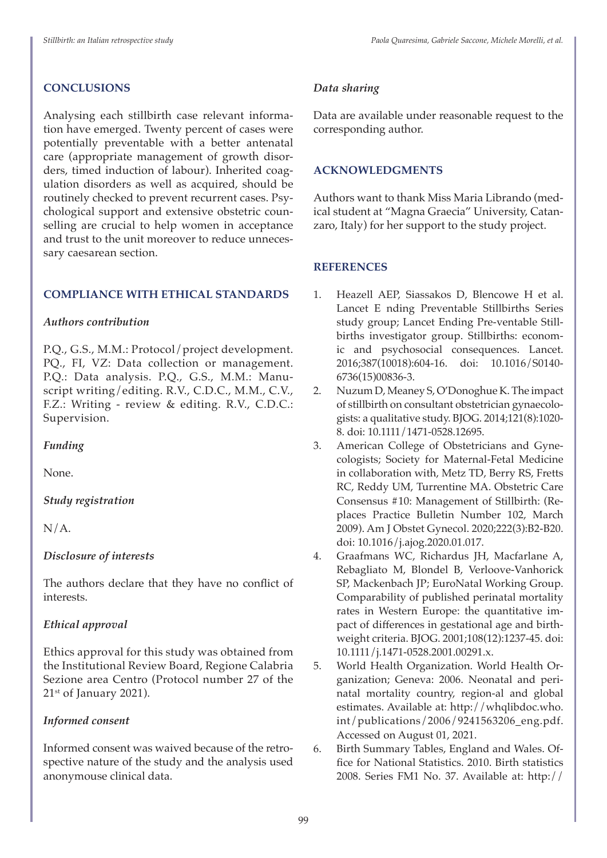## **CONCLUSIONS**

Analysing each stillbirth case relevant information have emerged. Twenty percent of cases were potentially preventable with a better antenatal care (appropriate management of growth disorders, timed induction of labour). Inherited coagulation disorders as well as acquired, should be routinely checked to prevent recurrent cases. Psychological support and extensive obstetric counselling are crucial to help women in acceptance and trust to the unit moreover to reduce unnecessary caesarean section.

## **COMPLIANCE WITH ETHICAL STANDARDS**

## *Authors contribution*

P.Q., G.S., M.M.: Protocol/project development. PQ., FI, VZ: Data collection or management. P.Q.: Data analysis. P.Q., G.S., M.M.: Manuscript writing/editing. R.V., C.D.C., M.M., C.V., F.Z.: Writing - review & editing. R.V., C.D.C.: Supervision.

## *Funding*

None.

## *Study registration*

 $N/A$ .

## *Disclosure of interests*

The authors declare that they have no conflict of interests.

## *Ethical approval*

Ethics approval for this study was obtained from the Institutional Review Board, Regione Calabria Sezione area Centro (Protocol number 27 of the 21<sup>st</sup> of January 2021).

## *Informed consent*

Informed consent was waived because of the retrospective nature of the study and the analysis used anonymouse clinical data.

## *Data sharing*

Data are available under reasonable request to the corresponding author.

## **ACKNOWLEDGMENTS**

Authors want to thank Miss Maria Librando (medical student at "Magna Graecia" University, Catanzaro, Italy) for her support to the study project.

## **REFERENCES**

- 1. Heazell AEP, Siassakos D, Blencowe H et al. Lancet E nding Preventable Stillbirths Series study group; Lancet Ending Pre-ventable Stillbirths investigator group. Stillbirths: economic and psychosocial consequences. Lancet. 2016;387(10018):604-16. doi: 10.1016/S0140- 6736(15)00836-3.
- 2. Nuzum D, Meaney S, O'Donoghue K. The impact of stillbirth on consultant obstetrician gynaecologists: a qualitative study. BJOG. 2014;121(8):1020- 8. doi: 10.1111/1471-0528.12695.
- 3. American College of Obstetricians and Gynecologists; Society for Maternal-Fetal Medicine in collaboration with, Metz TD, Berry RS, Fretts RC, Reddy UM, Turrentine MA. Obstetric Care Consensus #10: Management of Stillbirth: (Replaces Practice Bulletin Number 102, March 2009). Am J Obstet Gynecol. 2020;222(3):B2-B20. doi: 10.1016/j.ajog.2020.01.017.
- 4. Graafmans WC, Richardus JH, Macfarlane A, Rebagliato M, Blondel B, Verloove-Vanhorick SP, Mackenbach JP; EuroNatal Working Group. Comparability of published perinatal mortality rates in Western Europe: the quantitative impact of differences in gestational age and birthweight criteria. BJOG. 2001;108(12):1237-45. doi: 10.1111/j.1471-0528.2001.00291.x.
- 5. World Health Organization. World Health Organization; Geneva: 2006. Neonatal and perinatal mortality country, region-al and global estimates. Available at: http://whqlibdoc.who. int/publications/2006/9241563206\_eng.pdf. Accessed on August 01, 2021.
- 6. Birth Summary Tables, England and Wales. Office for National Statistics. 2010. Birth statistics 2008. Series FM1 No. 37. Available at: http://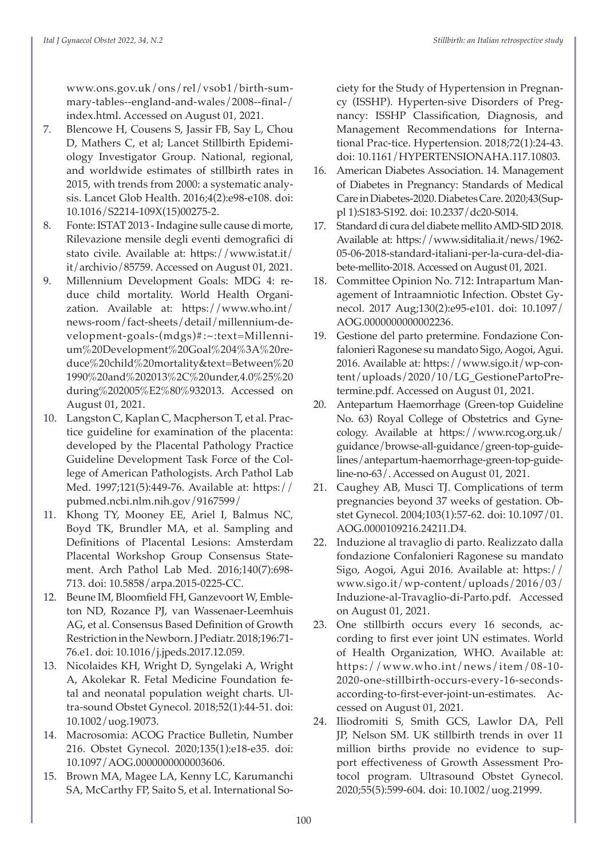www.ons.gov.uk/ons/rel/vsob1/birth-summary-tables--england-and-wales/2008--final-/ index.html. Accessed on August 01, 2021.

- 7. Blencowe H, Cousens S, Jassir FB, Say L, Chou D, Mathers C, et al; Lancet Stillbirth Epidemiology Investigator Group. National, regional, and worldwide estimates of stillbirth rates in 2015, with trends from 2000: a systematic analysis. Lancet Glob Health. 2016;4(2):e98-e108. doi: 10.1016/S2214-109X(15)00275-2.
- 8. Fonte: ISTAT 2013 Indagine sulle cause di morte, Rilevazione mensile degli eventi demografici di stato civile. Available at: https://www.istat.it/ it/archivio/85759. Accessed on August 01, 2021.
- 9. Millennium Development Goals: MDG 4: reduce child mortality. World Health Organization. Available at: https://www.who.int/ news-room/fact-sheets/detail/millennium-development-goals-(mdgs)#:~:text=Millennium%20Development%20Goal%204%3A%20reduce%20child%20mortality&text=Between%20 1990%20and%202013%2C%20under,4.0%25%20 during%202005%E2%80%932013. Accessed on August 01, 2021.
- 10. Langston C, Kaplan C, Macpherson T, et al. Practice guideline for examination of the placenta: developed by the Placental Pathology Practice Guideline Development Task Force of the College of American Pathologists. Arch Pathol Lab Med. 1997;121(5):449-76. Available at: https:// pubmed.ncbi.nlm.nih.gov/9167599/
- 11. Khong TY, Mooney EE, Ariel I, Balmus NC, Boyd TK, Brundler MA, et al. Sampling and Definitions of Placental Lesions: Amsterdam Placental Workshop Group Consensus Statement. Arch Pathol Lab Med. 2016;140(7):698- 713. doi: 10.5858/arpa.2015-0225-CC.
- 12. Beune IM, Bloomfield FH, Ganzevoort W, Embleton ND, Rozance PJ, van Wassenaer-Leemhuis AG, et al. Consensus Based Definition of Growth Restriction in the Newborn. J Pediatr. 2018;196:71- 76.e1. doi: 10.1016/j.jpeds.2017.12.059.
- 13. Nicolaides KH, Wright D, Syngelaki A, Wright A, Akolekar R. Fetal Medicine Foundation fetal and neonatal population weight charts. Ultra-sound Obstet Gynecol. 2018;52(1):44-51. doi: 10.1002/uog.19073.
- 14. Macrosomia: ACOG Practice Bulletin, Number 216. Obstet Gynecol. 2020;135(1):e18-e35. doi: 10.1097/AOG.0000000000003606.
- 15. Brown MA, Magee LA, Kenny LC, Karumanchi SA, McCarthy FP, Saito S, et al. International So-

ciety for the Study of Hypertension in Pregnancy (ISSHP). Hyperten-sive Disorders of Pregnancy: ISSHP Classification, Diagnosis, and Management Recommendations for International Prac-tice. Hypertension. 2018;72(1):24-43. doi: 10.1161/HYPERTENSIONAHA.117.10803.

- 16. American Diabetes Association. 14. Management of Diabetes in Pregnancy: Standards of Medical Care in Diabetes-2020. Diabetes Care. 2020;43(Suppl 1):S183-S192. doi: 10.2337/dc20-S014.
- 17. Standard di cura del diabete mellito AMD-SID 2018. Available at: https://www.siditalia.it/news/1962- 05-06-2018-standard-italiani-per-la-cura-del-diabete-mellito-2018. Accessed on August 01, 2021.
- 18. Committee Opinion No. 712: Intrapartum Management of Intraamniotic Infection. Obstet Gynecol. 2017 Aug;130(2):e95-e101. doi: 10.1097/ AOG.0000000000002236.
- 19. Gestione del parto pretermine. Fondazione Confalonieri Ragonese su mandato Sigo, Aogoi, Agui. 2016. Available at: https://www.sigo.it/wp-content/uploads/2020/10/LG\_GestionePartoPretermine.pdf. Accessed on August 01, 2021.
- 20. Antepartum Haemorrhage (Green-top Guideline No. 63) Royal College of Obstetrics and Gynecology. Available at https://www.rcog.org.uk/ guidance/browse-all-guidance/green-top-guidelines/antepartum-haemorrhage-green-top-guideline-no-63/. Accessed on August 01, 2021.
- 21. Caughey AB, Musci TJ. Complications of term pregnancies beyond 37 weeks of gestation. Obstet Gynecol. 2004;103(1):57-62. doi: 10.1097/01. AOG.0000109216.24211.D4.
- 22. Induzione al travaglio di parto. Realizzato dalla fondazione Confalonieri Ragonese su mandato Sigo, Aogoi, Agui 2016. Available at: https:// www.sigo.it/wp-content/uploads/2016/03/ Induzione-al-Travaglio-di-Parto.pdf. Accessed on August 01, 2021.
- 23. One stillbirth occurs every 16 seconds, according to first ever joint UN estimates. World of Health Organization, WHO. Available at: https://www.who.int/news/item/08-10- 2020-one-stillbirth-occurs-every-16-secondsaccording-to-first-ever-joint-un-estimates. Accessed on August 01, 2021.
- 24. Iliodromiti S, Smith GCS, Lawlor DA, Pell JP, Nelson SM. UK stillbirth trends in over 11 million births provide no evidence to support effectiveness of Growth Assessment Protocol program. Ultrasound Obstet Gynecol. 2020;55(5):599-604. doi: 10.1002/uog.21999.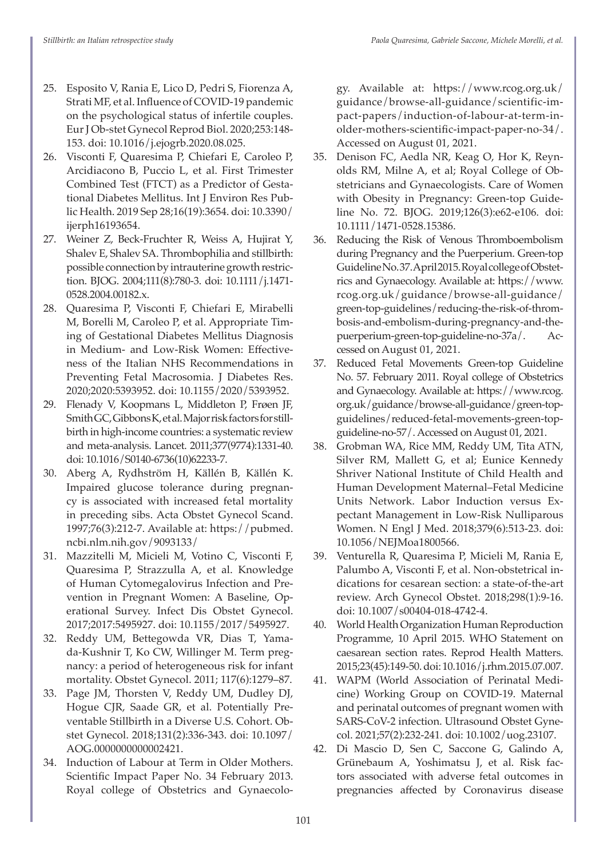- 25. Esposito V, Rania E, Lico D, Pedri S, Fiorenza A, Strati MF, et al. Influence of COVID-19 pandemic on the psychological status of infertile couples. Eur J Ob-stet Gynecol Reprod Biol. 2020;253:148- 153. doi: 10.1016/j.ejogrb.2020.08.025.
- 26. Visconti F, Quaresima P, Chiefari E, Caroleo P, Arcidiacono B, Puccio L, et al. First Trimester Combined Test (FTCT) as a Predictor of Gestational Diabetes Mellitus. Int J Environ Res Public Health. 2019 Sep 28;16(19):3654. doi: 10.3390/ ijerph16193654.
- 27. Weiner Z, Beck-Fruchter R, Weiss A, Hujirat Y, Shalev E, Shalev SA. Thrombophilia and stillbirth: possible connection by intrauterine growth restriction. BJOG. 2004;111(8):780-3. doi: 10.1111/j.1471- 0528.2004.00182.x.
- 28. Quaresima P, Visconti F, Chiefari E, Mirabelli M, Borelli M, Caroleo P, et al. Appropriate Timing of Gestational Diabetes Mellitus Diagnosis in Medium- and Low-Risk Women: Effectiveness of the Italian NHS Recommendations in Preventing Fetal Macrosomia. J Diabetes Res. 2020;2020:5393952. doi: 10.1155/2020/5393952.
- 29. Flenady V, Koopmans L, Middleton P, Frøen JF, Smith GC, Gibbons K, et al. Major risk factors for stillbirth in high-income countries: a systematic review and meta-analysis. Lancet. 2011;377(9774):1331-40. doi: 10.1016/S0140-6736(10)62233-7.
- 30. Aberg A, Rydhström H, Källén B, Källén K. Impaired glucose tolerance during pregnancy is associated with increased fetal mortality in preceding sibs. Acta Obstet Gynecol Scand. 1997;76(3):212-7. Available at: https://pubmed. ncbi.nlm.nih.gov/9093133/
- 31. Mazzitelli M, Micieli M, Votino C, Visconti F, Quaresima P, Strazzulla A, et al. Knowledge of Human Cytomegalovirus Infection and Prevention in Pregnant Women: A Baseline, Operational Survey. Infect Dis Obstet Gynecol. 2017;2017:5495927. doi: 10.1155/2017/5495927.
- 32. Reddy UM, Bettegowda VR, Dias T, Yamada-Kushnir T, Ko CW, Willinger M. Term pregnancy: a period of heterogeneous risk for infant mortality. Obstet Gynecol. 2011; 117(6):1279–87.
- 33. Page JM, Thorsten V, Reddy UM, Dudley DJ, Hogue CJR, Saade GR, et al. Potentially Preventable Stillbirth in a Diverse U.S. Cohort. Obstet Gynecol. 2018;131(2):336-343. doi: 10.1097/ AOG.0000000000002421.
- 34. Induction of Labour at Term in Older Mothers. Scientific Impact Paper No. 34 February 2013. Royal college of Obstetrics and Gynaecolo-

gy. Available at: https://www.rcog.org.uk/ guidance/browse-all-guidance/scientific-impact-papers/induction-of-labour-at-term-inolder-mothers-scientific-impact-paper-no-34/. Accessed on August 01, 2021.

- 35. Denison FC, Aedla NR, Keag O, Hor K, Reynolds RM, Milne A, et al; Royal College of Obstetricians and Gynaecologists. Care of Women with Obesity in Pregnancy: Green-top Guideline No. 72. BJOG. 2019;126(3):e62-e106. doi: 10.1111/1471-0528.15386.
- 36. Reducing the Risk of Venous Thromboembolism during Pregnancy and the Puerperium. Green-top Guideline No. 37. April 2015. Royal college of Obstetrics and Gynaecology. Available at: https://www. rcog.org.uk/guidance/browse-all-guidance/ green-top-guidelines/reducing-the-risk-of-thrombosis-and-embolism-during-pregnancy-and-thepuerperium-green-top-guideline-no-37a/. Accessed on August 01, 2021.
- 37. Reduced Fetal Movements Green-top Guideline No. 57. February 2011. Royal college of Obstetrics and Gynaecology. Available at: https://www.rcog. org.uk/guidance/browse-all-guidance/green-topguidelines/reduced-fetal-movements-green-topguideline-no-57/. Accessed on August 01, 2021.
- 38. Grobman WA, Rice MM, Reddy UM, Tita ATN, Silver RM, Mallett G, et al; Eunice Kennedy Shriver National Institute of Child Health and Human Development Maternal–Fetal Medicine Units Network. Labor Induction versus Expectant Management in Low-Risk Nulliparous Women. N Engl J Med. 2018;379(6):513-23. doi: 10.1056/NEJMoa1800566.
- 39. Venturella R, Quaresima P, Micieli M, Rania E, Palumbo A, Visconti F, et al. Non-obstetrical indications for cesarean section: a state-of-the-art review. Arch Gynecol Obstet. 2018;298(1):9-16. doi: 10.1007/s00404-018-4742-4.
- 40. World Health Organization Human Reproduction Programme, 10 April 2015. WHO Statement on caesarean section rates. Reprod Health Matters. 2015;23(45):149-50. doi: 10.1016/j.rhm.2015.07.007.
- 41. WAPM (World Association of Perinatal Medicine) Working Group on COVID-19. Maternal and perinatal outcomes of pregnant women with SARS-CoV-2 infection. Ultrasound Obstet Gynecol. 2021;57(2):232-241. doi: 10.1002/uog.23107.
- 42. Di Mascio D, Sen C, Saccone G, Galindo A, Grünebaum A, Yoshimatsu J, et al. Risk factors associated with adverse fetal outcomes in pregnancies affected by Coronavirus disease